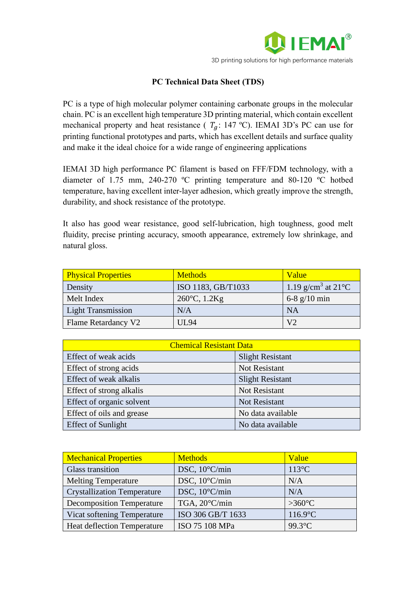

## **PC Technical Data Sheet (TDS)**

PC is a type of high molecular polymer containing carbonate groups in the molecular chain. PC is an excellent high temperature 3D printing material, which contain excellent mechanical property and heat resistance ( $T<sub>g</sub>$ : 147 °C). IEMAI 3D's PC can use for printing functional prototypes and parts, which has excellent details and surface quality and make it the ideal choice for a wide range of engineering applications

IEMAI 3D high performance PC filament is based on FFF/FDM technology, with a diameter of 1.75 mm, 240-270 ºC printing temperature and 80-120 ºC hotbed temperature, having excellent inter-layer adhesion, which greatly improve the strength, durability, and shock resistance of the prototype.

It also has good wear resistance, good self-lubrication, high toughness, good melt fluidity, precise printing accuracy, smooth appearance, extremely low shrinkage, and natural gloss.

| <b>Physical Properties</b> | <b>Methods</b>         | <b>Value</b>                                |
|----------------------------|------------------------|---------------------------------------------|
| Density                    | ISO 1183, GB/T1033     | 1.19 g/cm <sup>3</sup> at 21 <sup>o</sup> C |
| Melt Index                 | $260^{\circ}$ C, 1.2Kg | 6-8 $g/10$ min                              |
| <b>Light Transmission</b>  | N/A                    | <b>NA</b>                                   |
| Flame Retardancy V2        | UL 94                  | V <sub>2</sub>                              |

| <b>Chemical Resistant Data</b> |                         |  |
|--------------------------------|-------------------------|--|
| Effect of weak acids           | <b>Slight Resistant</b> |  |
| Effect of strong acids         | Not Resistant           |  |
| Effect of weak alkalis         | <b>Slight Resistant</b> |  |
| Effect of strong alkalis       | Not Resistant           |  |
| Effect of organic solvent      | <b>Not Resistant</b>    |  |
| Effect of oils and grease      | No data available       |  |
| <b>Effect of Sunlight</b>      | No data available       |  |

| <b>Mechanical Properties</b>       | <b>Methods</b>    | Value            |
|------------------------------------|-------------------|------------------|
| <b>Glass transition</b>            | DSC, 10°C/min     | $113^{\circ}$ C  |
| <b>Melting Temperature</b>         | DSC, 10°C/min     | N/A              |
| <b>Crystallization Temperature</b> | DSC, 10°C/min     | N/A              |
| <b>Decomposition Temperature</b>   | TGA, 20°C/min     | $>360^{\circ}$ C |
| Vicat softening Temperature        | ISO 306 GB/T 1633 | $116.9$ °C       |
| <b>Heat deflection Temperature</b> | ISO 75 108 MPa    | 99.3°C           |